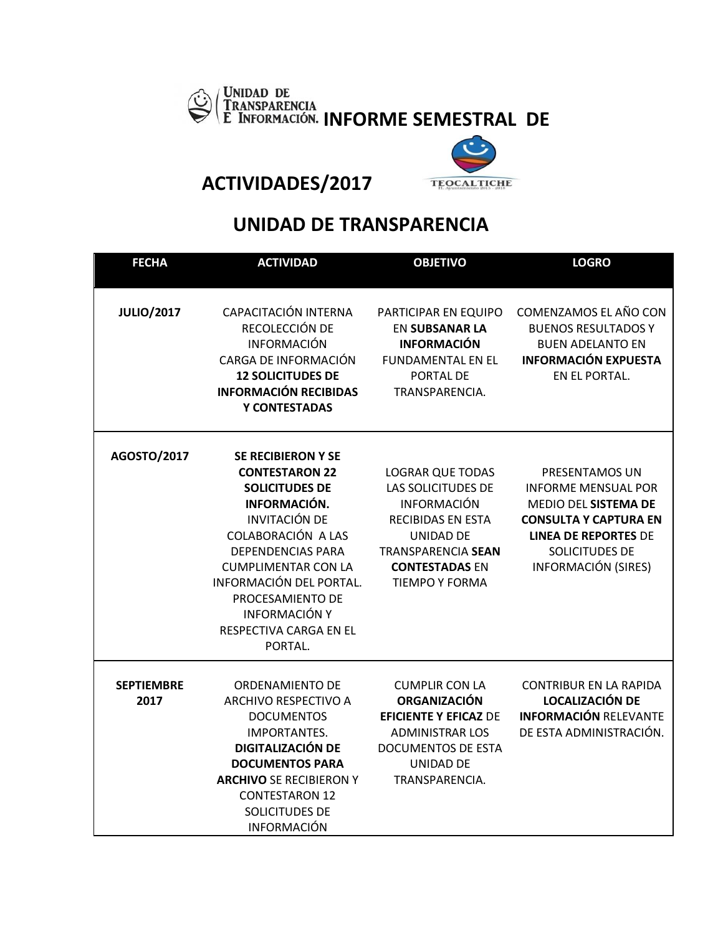



**ACTIVIDADES/2017** 

## **UNIDAD DE TRANSPARENCIA**

| <b>FECHA</b>              | <b>ACTIVIDAD</b>                                                                                                                                                                                                                                                                                                | <b>OBJETIVO</b>                                                                                                                                                                                           | <b>LOGRO</b>                                                                                                                                                                        |
|---------------------------|-----------------------------------------------------------------------------------------------------------------------------------------------------------------------------------------------------------------------------------------------------------------------------------------------------------------|-----------------------------------------------------------------------------------------------------------------------------------------------------------------------------------------------------------|-------------------------------------------------------------------------------------------------------------------------------------------------------------------------------------|
| <b>JULIO/2017</b>         | CAPACITACIÓN INTERNA<br>RECOLECCIÓN DE<br><b>INFORMACIÓN</b><br>CARGA DE INFORMACIÓN<br><b>12 SOLICITUDES DE</b><br><b>INFORMACIÓN RECIBIDAS</b><br>Y CONTESTADAS                                                                                                                                               | PARTICIPAR EN EQUIPO<br><b>EN SUBSANAR LA</b><br><b>INFORMACIÓN</b><br><b>FUNDAMENTAL EN EL</b><br>PORTAL DE<br>TRANSPARENCIA.                                                                            | COMENZAMOS EL AÑO CON<br><b>BUENOS RESULTADOS Y</b><br><b>BUEN ADELANTO EN</b><br><b>INFORMACIÓN EXPUESTA</b><br>EN EL PORTAL.                                                      |
| AGOSTO/2017               | <b>SE RECIBIERON Y SE</b><br><b>CONTESTARON 22</b><br><b>SOLICITUDES DE</b><br>INFORMACIÓN.<br><b>INVITACIÓN DE</b><br>COLABORACIÓN A LAS<br><b>DEPENDENCIAS PARA</b><br><b>CUMPLIMENTAR CON LA</b><br>INFORMACIÓN DEL PORTAL.<br>PROCESAMIENTO DE<br><b>INFORMACIÓN Y</b><br>RESPECTIVA CARGA EN EL<br>PORTAL. | <b>LOGRAR QUE TODAS</b><br><b>LAS SOLICITUDES DE</b><br><b>INFORMACIÓN</b><br><b>RECIBIDAS EN ESTA</b><br><b>UNIDAD DE</b><br><b>TRANSPARENCIA SEAN</b><br><b>CONTESTADAS EN</b><br><b>TIEMPO Y FORMA</b> | PRESENTAMOS UN<br><b>INFORME MENSUAL POR</b><br>MEDIO DEL SISTEMA DE<br><b>CONSULTA Y CAPTURA EN</b><br><b>LINEA DE REPORTES DE</b><br>SOLICITUDES DE<br><b>INFORMACIÓN (SIRES)</b> |
| <b>SEPTIEMBRE</b><br>2017 | <b>ORDENAMIENTO DE</b><br><b>ARCHIVO RESPECTIVO A</b><br><b>DOCUMENTOS</b><br><b>IMPORTANTES.</b><br><b>DIGITALIZACIÓN DE</b><br><b>DOCUMENTOS PARA</b><br><b>ARCHIVO SE RECIBIERON Y</b><br><b>CONTESTARON 12</b><br>SOLICITUDES DE<br><b>INFORMACIÓN</b>                                                      | <b>CUMPLIR CON LA</b><br><b>ORGANIZACIÓN</b><br><b>EFICIENTE Y EFICAZ DE</b><br><b>ADMINISTRAR LOS</b><br><b>DOCUMENTOS DE ESTA</b><br>UNIDAD DE<br>TRANSPARENCIA.                                        | <b>CONTRIBUR EN LA RAPIDA</b><br><b>LOCALIZACIÓN DE</b><br><b>INFORMACIÓN RELEVANTE</b><br>DE ESTA ADMINISTRACIÓN.                                                                  |